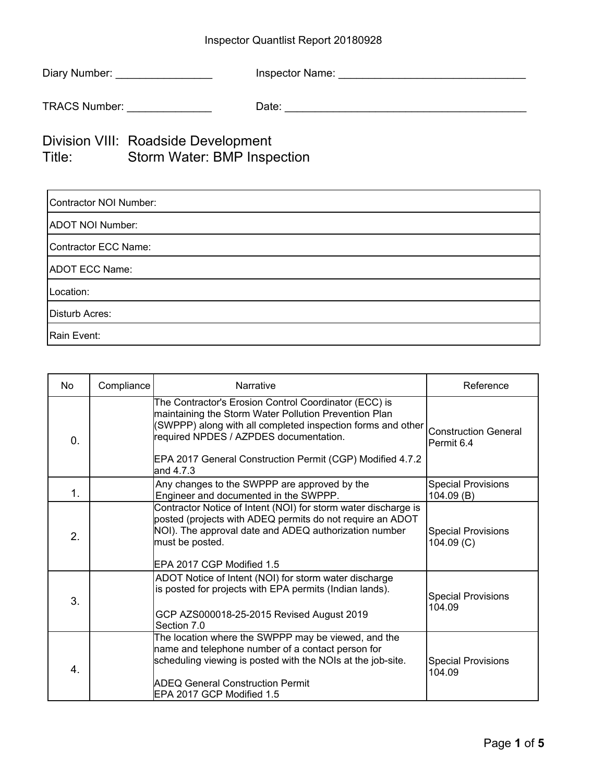## Inspector Quantlist Report 20180928

| Diary Number:        | Inspector Name: |
|----------------------|-----------------|
| <b>TRACS Number:</b> | Date:           |

## Division VIII: Roadside Development Title: Storm Water: BMP Inspection

| Contractor NOI Number:  |
|-------------------------|
| <b>ADOT NOI Number:</b> |
| Contractor ECC Name:    |
| <b>ADOT ECC Name:</b>   |
| Location:               |
| Disturb Acres:          |
| Rain Event:             |

| <b>No</b>  | Compliance | Narrative                                                                                                                                                                                                                                                                                         | Reference                                 |
|------------|------------|---------------------------------------------------------------------------------------------------------------------------------------------------------------------------------------------------------------------------------------------------------------------------------------------------|-------------------------------------------|
| $\Omega$ . |            | The Contractor's Erosion Control Coordinator (ECC) is<br>maintaining the Storm Water Pollution Prevention Plan<br>(SWPPP) along with all completed inspection forms and other<br>required NPDES / AZPDES documentation.<br>EPA 2017 General Construction Permit (CGP) Modified 4.7.2<br>and 4.7.3 | <b>Construction General</b><br>Permit 6.4 |
| 1.         |            | Any changes to the SWPPP are approved by the<br>Engineer and documented in the SWPPP.                                                                                                                                                                                                             | <b>Special Provisions</b><br>104.09(B)    |
| 2.         |            | Contractor Notice of Intent (NOI) for storm water discharge is<br>posted (projects with ADEQ permits do not require an ADOT<br>NOI). The approval date and ADEQ authorization number<br>must be posted.<br>EPA 2017 CGP Modified 1.5                                                              | <b>Special Provisions</b><br>104.09 (C)   |
| 3.         |            | ADOT Notice of Intent (NOI) for storm water discharge<br>is posted for projects with EPA permits (Indian lands).<br>GCP AZS000018-25-2015 Revised August 2019<br>Section 7.0                                                                                                                      | <b>Special Provisions</b><br>104.09       |
| 4.         |            | The location where the SWPPP may be viewed, and the<br>name and telephone number of a contact person for<br>scheduling viewing is posted with the NOIs at the job-site.<br><b>ADEQ General Construction Permit</b><br>EPA 2017 GCP Modified 1.5                                                   | <b>Special Provisions</b><br>104.09       |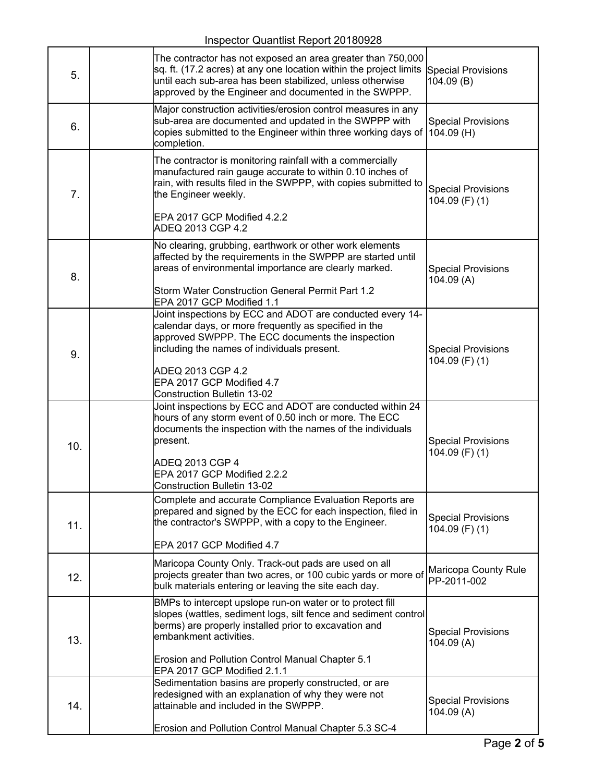Inspector Quantlist Report 20180928

| 5.  | The contractor has not exposed an area greater than 750,000<br>sq. ft. (17.2 acres) at any one location within the project limits Special Provisions<br>until each sub-area has been stabilized, unless otherwise<br>approved by the Engineer and documented in the SWPPP.                                    | 104.09(B)                                       |
|-----|---------------------------------------------------------------------------------------------------------------------------------------------------------------------------------------------------------------------------------------------------------------------------------------------------------------|-------------------------------------------------|
| 6.  | Major construction activities/erosion control measures in any<br>sub-area are documented and updated in the SWPPP with<br>copies submitted to the Engineer within three working days of<br>completion.                                                                                                        | <b>Special Provisions</b><br>$104.09$ (H)       |
| 7.  | The contractor is monitoring rainfall with a commercially<br>manufactured rain gauge accurate to within 0.10 inches of<br>rain, with results filed in the SWPPP, with copies submitted to<br>the Engineer weekly.<br>EPA 2017 GCP Modified 4.2.2<br>ADEQ 2013 CGP 4.2                                         | <b>Special Provisions</b><br>104.09 $(F)$ $(1)$ |
| 8.  | No clearing, grubbing, earthwork or other work elements<br>affected by the requirements in the SWPPP are started until<br>areas of environmental importance are clearly marked.<br>Storm Water Construction General Permit Part 1.2<br>EPA 2017 GCP Modified 1.1                                              | <b>Special Provisions</b><br>104.09(A)          |
| 9.  | Joint inspections by ECC and ADOT are conducted every 14-<br>calendar days, or more frequently as specified in the<br>approved SWPPP. The ECC documents the inspection<br>including the names of individuals present.<br>ADEQ 2013 CGP 4.2<br>EPA 2017 GCP Modified 4.7<br><b>Construction Bulletin 13-02</b> | <b>Special Provisions</b><br>104.09 (F) (1)     |
| 10. | Joint inspections by ECC and ADOT are conducted within 24<br>hours of any storm event of 0.50 inch or more. The ECC<br>documents the inspection with the names of the individuals<br>present.<br>ADEQ 2013 CGP 4<br>EPA 2017 GCP Modified 2.2.2<br><b>Construction Bulletin 13-02</b>                         | <b>Special Provisions</b><br>$104.09$ (F) (1)   |
| 11. | Complete and accurate Compliance Evaluation Reports are<br>prepared and signed by the ECC for each inspection, filed in<br>the contractor's SWPPP, with a copy to the Engineer.<br>EPA 2017 GCP Modified 4.7                                                                                                  | <b>Special Provisions</b><br>104.09 $(F)$ $(1)$ |
| 12. | Maricopa County Only. Track-out pads are used on all<br>projects greater than two acres, or 100 cubic yards or more of<br>bulk materials entering or leaving the site each day.                                                                                                                               | Maricopa County Rule<br>PP-2011-002             |
| 13. | BMPs to intercept upslope run-on water or to protect fill<br>slopes (wattles, sediment logs, silt fence and sediment control<br>berms) are properly installed prior to excavation and<br>embankment activities.<br>Erosion and Pollution Control Manual Chapter 5.1<br>EPA 2017 GCP Modified 2.1.1            | <b>Special Provisions</b><br>104.09(A)          |
| 14. | Sedimentation basins are properly constructed, or are<br>redesigned with an explanation of why they were not<br>attainable and included in the SWPPP.<br>Erosion and Pollution Control Manual Chapter 5.3 SC-4                                                                                                | <b>Special Provisions</b><br>104.09(A)          |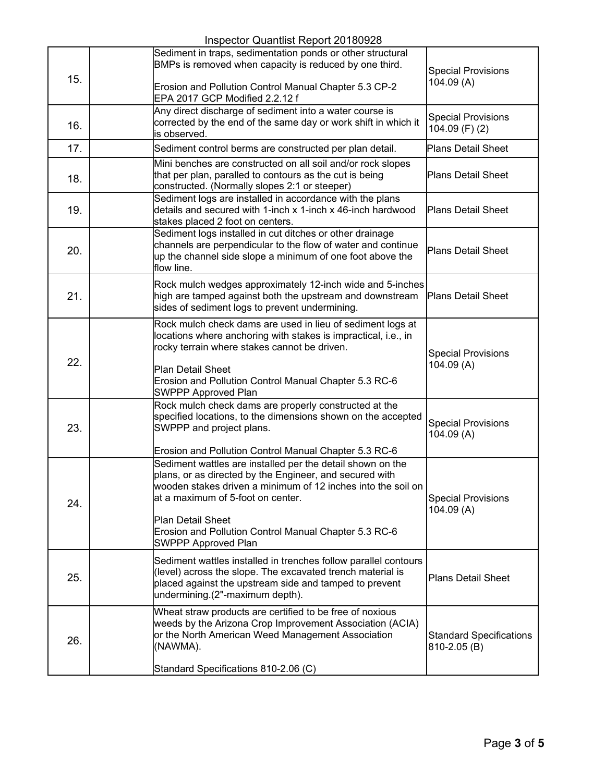## Inspector Quantlist Report 20180928

|     | <b>IIISPECIOL QUAHIIISI NEPOLI ZU TOUSZO</b>                                                                                                                                                                                                                                                                                           |                                                |
|-----|----------------------------------------------------------------------------------------------------------------------------------------------------------------------------------------------------------------------------------------------------------------------------------------------------------------------------------------|------------------------------------------------|
| 15. | Sediment in traps, sedimentation ponds or other structural<br>BMPs is removed when capacity is reduced by one third.<br>Erosion and Pollution Control Manual Chapter 5.3 CP-2                                                                                                                                                          | <b>Special Provisions</b><br>104.09 (A)        |
| 16. | EPA 2017 GCP Modified 2.2.12 f<br>Any direct discharge of sediment into a water course is<br>corrected by the end of the same day or work shift in which it<br>is observed.                                                                                                                                                            | <b>Special Provisions</b><br>$104.09$ (F) (2)  |
| 17. | Sediment control berms are constructed per plan detail.                                                                                                                                                                                                                                                                                | <b>Plans Detail Sheet</b>                      |
| 18. | Mini benches are constructed on all soil and/or rock slopes<br>that per plan, paralled to contours as the cut is being<br>constructed. (Normally slopes 2:1 or steeper)                                                                                                                                                                | <b>Plans Detail Sheet</b>                      |
| 19. | Sediment logs are installed in accordance with the plans<br>details and secured with 1-inch x 1-inch x 46-inch hardwood<br>stakes placed 2 foot on centers.                                                                                                                                                                            | <b>Plans Detail Sheet</b>                      |
| 20. | Sediment logs installed in cut ditches or other drainage<br>channels are perpendicular to the flow of water and continue<br>up the channel side slope a minimum of one foot above the<br>flow line.                                                                                                                                    | <b>Plans Detail Sheet</b>                      |
| 21. | Rock mulch wedges approximately 12-inch wide and 5-inches<br>high are tamped against both the upstream and downstream<br>sides of sediment logs to prevent undermining.                                                                                                                                                                | <b>Plans Detail Sheet</b>                      |
| 22. | Rock mulch check dams are used in lieu of sediment logs at<br>locations where anchoring with stakes is impractical, i.e., in<br>rocky terrain where stakes cannot be driven.<br>Plan Detail Sheet<br>Erosion and Pollution Control Manual Chapter 5.3 RC-6<br><b>SWPPP Approved Plan</b>                                               | <b>Special Provisions</b><br>104.09(A)         |
| 23. | Rock mulch check dams are properly constructed at the<br>specified locations, to the dimensions shown on the accepted<br>SWPPP and project plans.<br>Erosion and Pollution Control Manual Chapter 5.3 RC-6                                                                                                                             | <b>Special Provisions</b><br>104.09(A)         |
| 24. | Sediment wattles are installed per the detail shown on the<br>plans, or as directed by the Engineer, and secured with<br>wooden stakes driven a minimum of 12 inches into the soil on<br>at a maximum of 5-foot on center.<br>Plan Detail Sheet<br>Erosion and Pollution Control Manual Chapter 5.3 RC-6<br><b>SWPPP Approved Plan</b> | <b>Special Provisions</b><br>104.09(A)         |
| 25. | Sediment wattles installed in trenches follow parallel contours<br>(level) across the slope. The excavated trench material is<br>placed against the upstream side and tamped to prevent<br>undermining.(2"-maximum depth).                                                                                                             | <b>Plans Detail Sheet</b>                      |
| 26. | Wheat straw products are certified to be free of noxious<br>weeds by the Arizona Crop Improvement Association (ACIA)<br>or the North American Weed Management Association<br>(NAWMA).<br>Standard Specifications 810-2.06 (C)                                                                                                          | <b>Standard Specifications</b><br>810-2.05 (B) |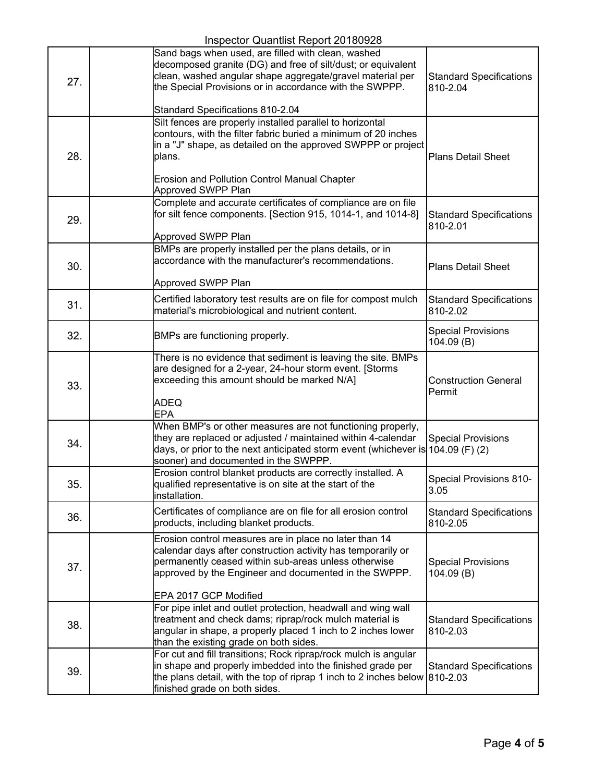## Inspector Quantlist Report 20180928

|     | Inspector Quantilist Report ZU Touszo                                                                                                                                                                                                                                          |                                            |
|-----|--------------------------------------------------------------------------------------------------------------------------------------------------------------------------------------------------------------------------------------------------------------------------------|--------------------------------------------|
| 27. | Sand bags when used, are filled with clean, washed<br>decomposed granite (DG) and free of silt/dust; or equivalent<br>clean, washed angular shape aggregate/gravel material per<br>the Special Provisions or in accordance with the SWPPP.<br>Standard Specifications 810-2.04 | <b>Standard Specifications</b><br>810-2.04 |
| 28. | Silt fences are properly installed parallel to horizontal<br>contours, with the filter fabric buried a minimum of 20 inches<br>in a "J" shape, as detailed on the approved SWPPP or project<br>plans.<br>Erosion and Pollution Control Manual Chapter<br>Approved SWPP Plan    | <b>Plans Detail Sheet</b>                  |
| 29. | Complete and accurate certificates of compliance are on file<br>for silt fence components. [Section 915, 1014-1, and 1014-8]<br>Approved SWPP Plan                                                                                                                             | <b>Standard Specifications</b><br>810-2.01 |
| 30. | BMPs are properly installed per the plans details, or in<br>accordance with the manufacturer's recommendations.<br>Approved SWPP Plan                                                                                                                                          | <b>Plans Detail Sheet</b>                  |
| 31. | Certified laboratory test results are on file for compost mulch<br>material's microbiological and nutrient content.                                                                                                                                                            | <b>Standard Specifications</b><br>810-2.02 |
| 32. | BMPs are functioning properly.                                                                                                                                                                                                                                                 | <b>Special Provisions</b><br>104.09 (B)    |
| 33. | There is no evidence that sediment is leaving the site. BMPs<br>are designed for a 2-year, 24-hour storm event. [Storms<br>exceeding this amount should be marked N/A]<br><b>ADEQ</b><br><b>EPA</b>                                                                            | <b>Construction General</b><br>Permit      |
| 34. | When BMP's or other measures are not functioning properly,<br>they are replaced or adjusted / maintained within 4-calendar<br>days, or prior to the next anticipated storm event (whichever is $104.09$ (F) (2)<br>sooner) and documented in the SWPPP.                        | <b>Special Provisions</b>                  |
| 35. | Erosion control blanket products are correctly installed. A<br>qualified representative is on site at the start of the<br>installation.                                                                                                                                        | <b>Special Provisions 810-</b><br>3.05     |
| 36. | Certificates of compliance are on file for all erosion control<br>products, including blanket products.                                                                                                                                                                        | <b>Standard Specifications</b><br>810-2.05 |
| 37. | Erosion control measures are in place no later than 14<br>calendar days after construction activity has temporarily or<br>permanently ceased within sub-areas unless otherwise<br>approved by the Engineer and documented in the SWPPP.                                        | <b>Special Provisions</b><br>104.09 (B)    |
| 38. | EPA 2017 GCP Modified<br>For pipe inlet and outlet protection, headwall and wing wall<br>treatment and check dams; riprap/rock mulch material is<br>angular in shape, a properly placed 1 inch to 2 inches lower<br>than the existing grade on both sides.                     | <b>Standard Specifications</b><br>810-2.03 |
| 39. | For cut and fill transitions; Rock riprap/rock mulch is angular<br>in shape and properly imbedded into the finished grade per<br>the plans detail, with the top of riprap 1 inch to 2 inches below<br>finished grade on both sides.                                            | <b>Standard Specifications</b><br>810-2.03 |